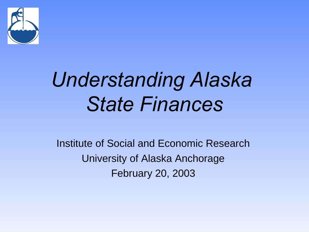

# *Understanding Alaska State Finances*

Institute of Social and Economic Research University of Alaska Anchorage February 20, 2003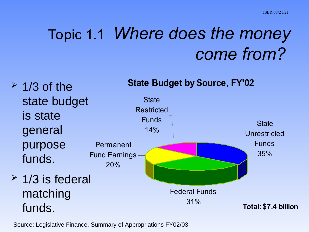#### Topic 1.1 *Where does the money come from?*

**State Budget by Source, FY'02**

**State Unrestricted** Funds 35% Federal Funds 31% Permanent Fund Earnings 20% **State Restricted** Funds 14% **Total: \$7.4 billion**  $\geq$  1/3 of the state budget is state general purpose funds.  $\geq$  1/3 is federal matching funds.

Source: Legislative Finance, Summary of Appropriations FY02/03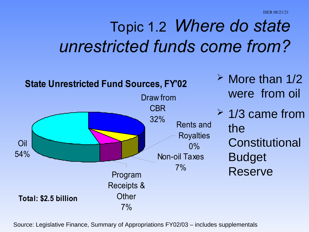ISER 08/21/21

### Topic 1.2 *Where do state unrestricted funds come from?*



Source: Legislative Finance, Summary of Appropriations FY02/03 – includes supplementals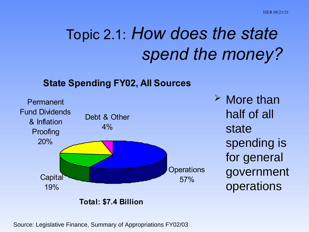## Topic 2.1: *How does the state spend the money?*

#### **State Spending FY02, All Sources**



 $\triangleright$  More than half of all state spending is for general government operations

**Total: \$7.4 Billion**

Source: Legislative Finance, Summary of Appropriations FY02/03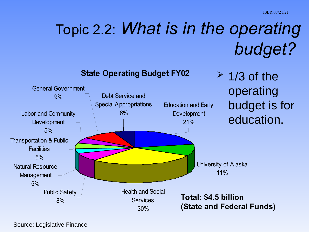# Topic 2.2: *What is in the operating budget?*

**State Operating Budget FY02**



Source: Legislative Finance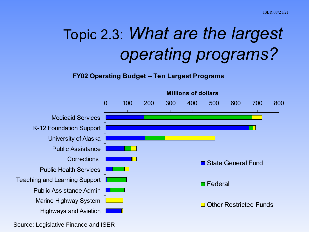## Topic 2.3: *What are the largest operating programs?*

#### **FY02 Operating Budget -- Ten Largest Programs**



Source: Legislative Finance and ISER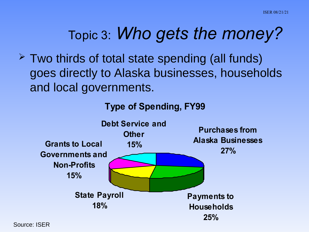#### Topic 3: *Who gets the money?*

 $\geq$  Two thirds of total state spending (all funds) goes directly to Alaska businesses, households and local governments.

**Type of Spending, FY99**



Source: ISER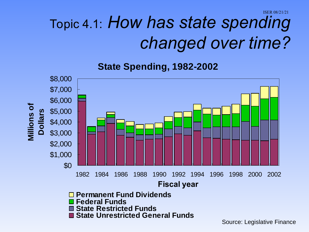#### ISER 08/21/21 Topic 4.1: *How has state spending changed over time?*

**State Spending, 1982-2002** 



Source: Legislative Finance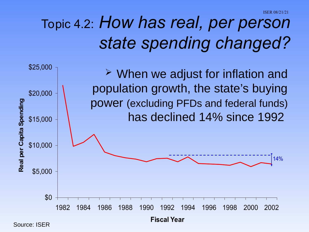### Topic 4.2: *How has real, per person state spending changed?*

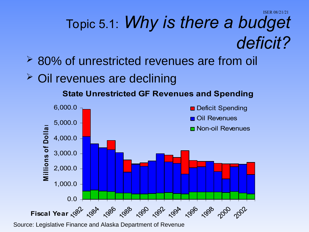#### ISER 08/21/21 Topic 5.1: *Why is there a budget deficit?*

- **<del>▶ 80%</del>** of unrestricted revenues are from oil
- Oil revenues are declining

**State Unrestricted GF Revenues and Spending**



Source: Legislative Finance and Alaska Department of Revenue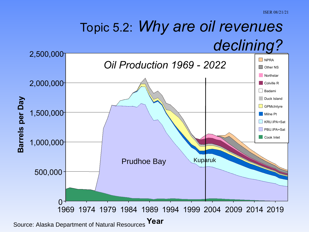#### Topic 5.2: *Why are oil revenues declining?*

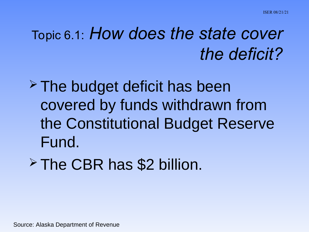#### Topic 6.1: *How does the state cover the deficit?*

 $\ge$  The budget deficit has been covered by funds withdrawn from the Constitutional Budget Reserve Fund.

 $\ge$  The CBR has \$2 billion.

Source: Alaska Department of Revenue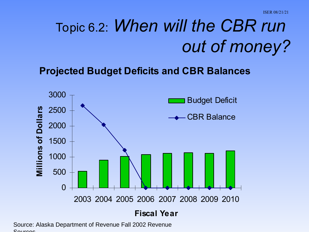## Topic 6.2: *When will the CBR run out of money?*

**Projected Budget Deficits and CBR Balances**



Source: Alaska Department of Revenue Fall 2002 Revenue Courses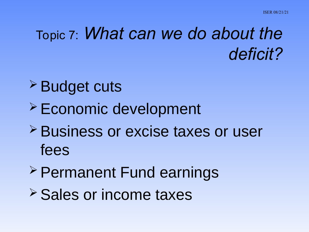#### Topic 7: *What can we do about the deficit?*

- **≻ Budget cuts**
- Economic development
- **≻ Business or excise taxes or user** fees
- Permanent Fund earnings
- **≻ Sales or income taxes**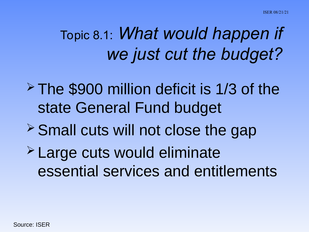## Topic 8.1: *What would happen if we just cut the budget?*

- $\ge$  The \$900 million deficit is 1/3 of the state General Fund budget
- $\ge$  Small cuts will not close the gap
- Large cuts would eliminate essential services and entitlements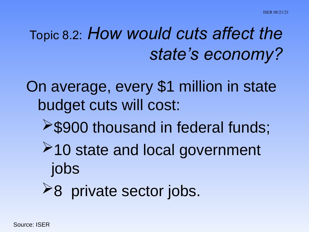#### Topic 8.2: *How would cuts affect the state's economy?*

On average, every \$1 million in state budget cuts will cost:

- **>\$900 thousand in federal funds;**
- **≻10 state and local government** jobs
- $\geq$ 8 private sector jobs.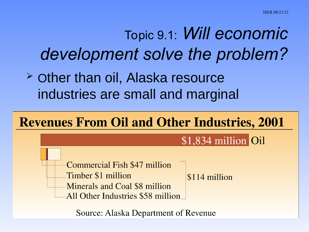#### Topic 9.1: *Will economic development solve the problem?*

 $\geq$  Other than oil, Alaska resource industries are small and marginal



**Source: Alaska Department of Revenue**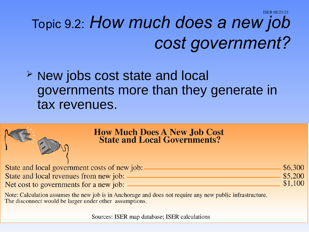ISER 08/21/21

# Topic 9.2: *How much does a new job cost government?*

#### $\geq$  New jobs cost state and local governments more than they generate in tax revenues.

|                                              | <b>How Much Does A New Job Cost<br/>State and Local Governments?</b>                                          |         |
|----------------------------------------------|---------------------------------------------------------------------------------------------------------------|---------|
| State and local government costs of new job: |                                                                                                               | \$6,300 |
| State and local revenues from new job:       |                                                                                                               | \$5,200 |
| Net cost to governments for a new job:       |                                                                                                               | \$1,100 |
|                                              | Matar Calculation aggressed the new job is in Anglement and deep not new ine one new multiplic infrastructure |         |

Note: Calculation assumes the new job is in Anchorage and does not require any new public infrastructure. The disconnect would be larger under other assumptions.

Sources: ISER map database; ISER calculations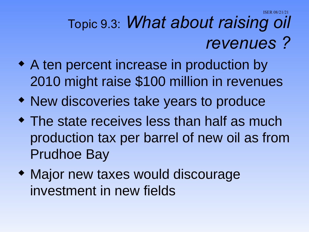ISER 08/21/21

## Topic 9.3: *What about raising oil revenues ?*

- A ten percent increase in production by 2010 might raise \$100 million in revenues
- New discoveries take years to produce
- The state receives less than half as much production tax per barrel of new oil as from Prudhoe Bay
- Major new taxes would discourage investment in new fields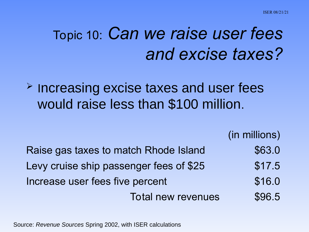#### Topic 10: *Can we raise user fees and excise taxes?*

**EXTERE IS 2018 THE PROPERT FIGURE IS A PROPERTY EXCISE** would raise less than \$100 million.

(in millions)

| Raise gas taxes to match Rhode Island   | \$63.0 |
|-----------------------------------------|--------|
| Levy cruise ship passenger fees of \$25 | \$17.5 |
| Increase user fees five percent         | \$16.0 |
| <b>Total new revenues</b>               | \$96.5 |

Source: *Revenue Sources* Spring 2002, with ISER calculations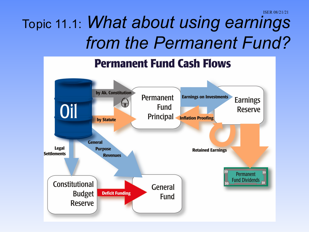### Topic 11.1: *What about using earnings from the Permanent Fund?*

#### **Permanent Fund Cash Flows**

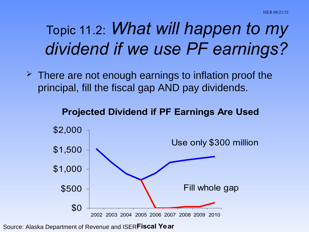### Topic 11.2: *What will happen to my dividend if we use PF earnings?*

 $\geq$  There are not enough earnings to inflation proof the principal, fill the fiscal gap AND pay dividends.

#### **Projected Dividend if PF Earnings Are Used**



Source: Alaska Department of Revenue and ISER **Fiscal Year**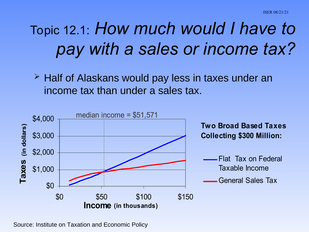## Topic 12.1: *How much would I have to pay with a sales or income tax?*

 $\geq$  Half of Alaskans would pay less in taxes under an income tax than under a sales tax.



Source: Institute on Taxation and Economic Policy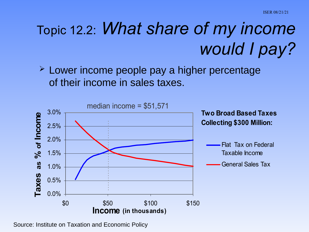## Topic 12.2: *What share of my income would I pay?*

**EXA** Lower income people pay a higher percentage of their income in sales taxes.



Source: Institute on Taxation and Economic Policy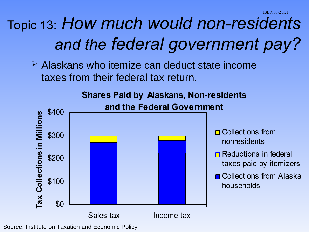### Topic 13: *How much would non-residents and the federal government pay?*

 $\geq$  Alaskans who itemize can deduct state income taxes from their federal tax return.



Source: Institute on Taxation and Economic Policy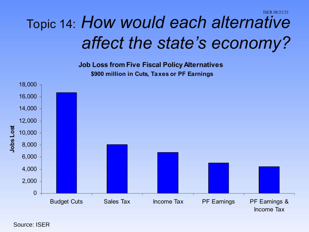#### ISER 08/21/21 Topic 14: *How would each alternative affect the state's economy?*

**Job Loss from Five Fiscal Policy Alternatives \$900 million in Cuts, Taxes or PF Earnings**

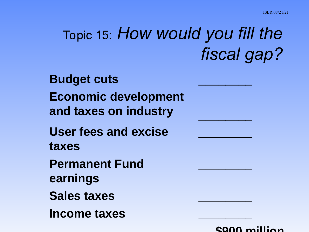### Topic 15: *How would you fill the fiscal gap?*

**Budget cuts** \_\_\_\_\_\_\_\_ **Economic development and taxes on industry** \_\_\_\_\_\_\_\_ **User fees and excise taxes Permanent Fund earnings Sales taxes** \_\_\_\_\_\_\_\_ **Income taxes \_\_\_\_\_\_\_\_**



 **\$900 million**